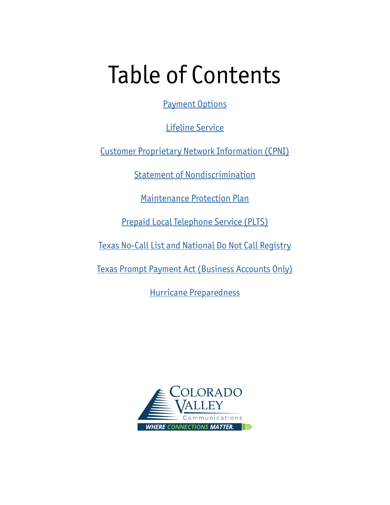## Table of Contents

[Payment Options](#page-1-0)

[Lifeline Service](#page-2-0)

[Customer Proprietary Network Information \(CPNI\)](#page-3-0)

[Statement of Nondiscrimination](#page-4-0)

[Maintenance Protection Plan](#page-5-0)

[Prepaid Local Telephone Service \(PLTS\)](#page-7-0)

[Texas No-Call List and National Do Not Call Registry](#page-9-0)

[Texas Prompt Payment Act \(Business Accounts Only\)](#page-10-0)

[Hurricane Preparedness](#page-11-0)

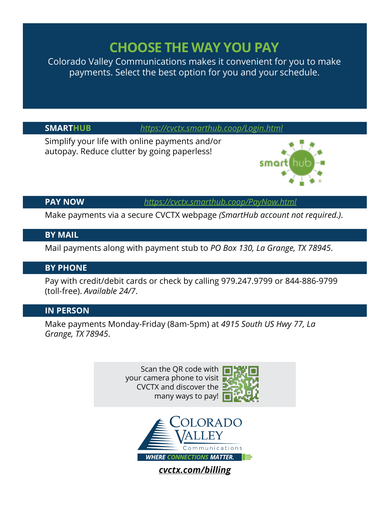### **CHOOSE THE WAY YOU PAY**

<span id="page-1-0"></span>Colorado Valley Communications makes it convenient for you to make payments. Select the best option for you and your schedule.

**SMARTHUB** *<https://cvctx.smarthub.coop/Login.html>*

Simplify your life with online payments and/or autopay. Reduce clutter by going paperless!



**PAY NOW** *<https://cvctx.smarthub.coop/PayNow.html>*

Make payments via a secure CVCTX webpage *(SmartHub account not required.)*.

### **BY MAIL**

Mail payments along with payment stub to *PO Box 130, La Grange, TX 78945*.

### **BY PHONE**

Pay with credit/debit cards or check by calling 979.247.9799 or 844-886-9799 (toll-free). *Available 24/7*.

### **IN PERSON**

Make payments Monday-Friday (8am-5pm) at *4915 South US Hwy 77, La Grange, TX 78945*.

> Scan the QR code with your camera phone to visit CVCTX and discover the many ways to pay!



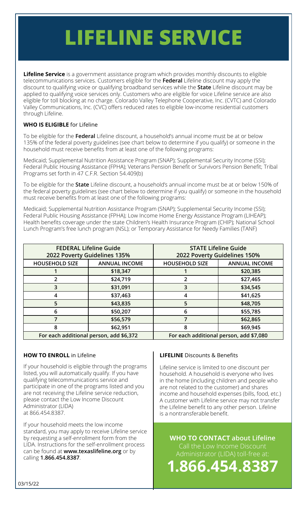# <span id="page-2-0"></span>**LIFELINE SERVICE**

**Lifeline Service** is a government assistance program which provides monthly discounts to eligible telecommunications services. Customers eligible for the **Federal** Lifeline discount may apply the discount to qualifying voice or qualifying broadband services while the **State** Lifeline discount may be applied to qualifying voice services only. Customers who are eligible for voice Lifeline service are also eligible for toll blocking at no charge. Colorado Valley Telephone Cooperative, Inc. (CVTC) and Colorado Valley Communications, Inc. (CVC) offers reduced rates to eligible low-income residential customers through Lifeline.

### **WHO IS ELIGIBLE** for Lifeline

To be eligible for the **Federal** Lifeline discount, a household's annual income must be at or below 135% of the federal poverty guidelines (see chart below to determine if you qualify) or someone in the household must receive benefits from at least one of the following programs:

Medicaid; Supplemental Nutrition Assistance Program (SNAP); Supplemental Security Income (SSI); Federal Public Housing Assistance (FPHA); Veterans Pension Benefit or Survivors Pension Benefit; Tribal Programs set forth in 47 C.F.R. Section 54.409(b)

To be eligible for the **State** Lifeline discount, a household's annual income must be at or below 150% of the federal poverty guidelines (see chart below to determine if you qualify) or someone in the household must receive benefits from at least one of the following programs:

Medicaid; Supplemental Nutrition Assistance Program (SNAP); Supplemental Security Income (SSI); Federal Public Housing Assistance (FPHA); Low Income Home Energy Assistance Program (LIHEAP); Health benefits coverage under the state Children's Health Insurance Program (CHIP); National School Lunch Program's free lunch program (NSL); or Temporary Assistance for Needy Families (TANF)

| <b>FEDERAL Lifeline Guide</b>           |                      | <b>STATE Lifeline Guide</b>             |                      |
|-----------------------------------------|----------------------|-----------------------------------------|----------------------|
| 2022 Poverty Guidelines 135%            |                      | 2022 Poverty Guidelines 150%            |                      |
| <b>HOUSEHOLD SIZE</b>                   | <b>ANNUAL INCOME</b> | <b>HOUSEHOLD SIZE</b>                   | <b>ANNUAL INCOME</b> |
|                                         | \$18,347             |                                         | \$20,385             |
|                                         | \$24,719             | 2                                       | \$27,465             |
| 3                                       | \$31,091             | 3                                       | \$34,545             |
|                                         | \$37,463             |                                         | \$41,625             |
| 5                                       | \$43,835             | 5                                       | \$48,705             |
| 6                                       | \$50,207             | 6                                       | \$55,785             |
|                                         | \$56,579             | 7                                       | \$62,865             |
| 8                                       | \$62,951             | 8                                       | \$69,945             |
| For each additional person, add \$6,372 |                      | For each additional person, add \$7,080 |                      |

### **HOW TO ENROLL** in Lifeline

If your household is eligible through the programs listed, you will automatically qualify. If you have qualifying telecommunications service and participate in one of the programs listed and you are not receiving the Lifeline service reduction, please contact the Low Income Discount Administrator (LIDA) at 866.454.8387.

If your household meets the low income standard, you may apply to receive Lifeline service by requesting a self-enrollment form from the LIDA. Instructions for the self-enrollment process can be found at **www.texaslifeline.org** or by calling **1.866.454.8387**.

### **LIFELINE** Discounts & Benefits

Lifeline service is limited to one discount per household. A household is everyone who lives in the home (including children and people who are not related to the customer) and shares income and household expenses (bills, food, etc.) A customer with Lifeline service may not transfer the Lifeline benefit to any other person. Lifeline is a nontransferable benefit.

**WHO TO CONTACT about Lifeline**

Call the Low Income Discount Administrator (LIDA) toll-free at:

**1.866.454.8387**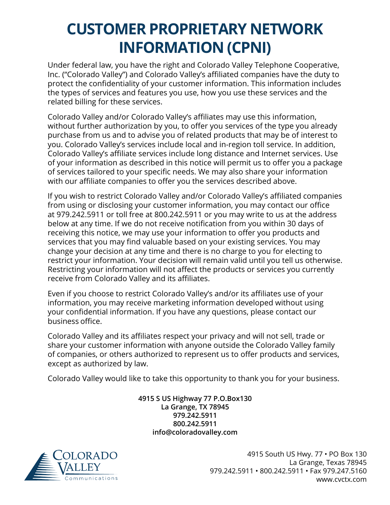### <span id="page-3-0"></span>**CUSTOMER PROPRIETARY NETWORK INFORMATION (CPNI)**

Under federal law, you have the right and Colorado Valley Telephone Cooperative, Inc. ("Colorado Valley") and Colorado Valley's affiliated companies have the duty to protect the confidentiality of your customer information. This information includes the types of services and features you use, how you use these services and the related billing for these services.

Colorado Valley and/or Colorado Valley's affiliates may use this information, without further authorization by you, to offer you services of the type you already purchase from us and to advise you of related products that may be of interest to you. Colorado Valley's services include local and in-region toll service. In addition, Colorado Valley's affiliate services include long distance and Internet services. Use of your information as described in this notice will permit us to offer you a package of services tailored to your specific needs. We may also share your information with our affiliate companies to offer you the services described above.

If you wish to restrict Colorado Valley and/or Colorado Valley's affiliated companies from using or disclosing your customer information, you may contact our office at 979.242.5911 or toll free at 800.242.5911 or you may write to us at the address below at any time. If we do not receive notification from you within 30 days of receiving this notice, we may use your information to offer you products and services that you may find valuable based on your existing services. You may change your decision at any time and there is no charge to you for electing to restrict your information. Your decision will remain valid until you tell us otherwise. Restricting your information will not affect the products or services you currently receive from Colorado Valley and its affiliates.

Even if you choose to restrict Colorado Valley's and/or its affiliates use of your information, you may receive marketing information developed without using your confidential information. If you have any questions, please contact our business office.

Colorado Valley and its affiliates respect your privacy and will not sell, trade or share your customer information with anyone outside the Colorado Valley family of companies, or others authorized to represent us to offer products and services, except as authorized by law.

Colorado Valley would like to take this opportunity to thank you for your business.

**4915 S US Highway 77 P.O.Box130 La Grange, TX 78945 979.242.5911 800.242.5911 info@coloradovalley.com**

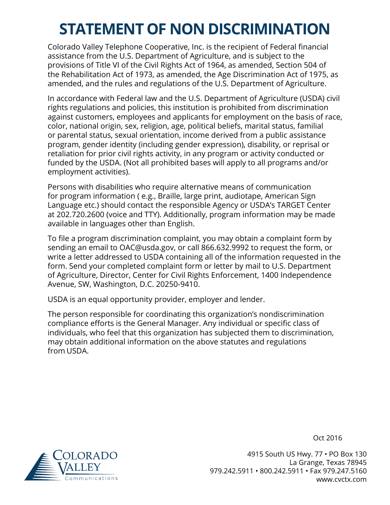### <span id="page-4-0"></span>**STATEMENT OF NON DISCRIMINATION**

Colorado Valley Telephone Cooperative, Inc. is the recipient of Federal financial assistance from the U.S. Department of Agriculture, and is subject to the provisions of Title VI of the Civil Rights Act of 1964, as amended, Section 504 of the Rehabilitation Act of 1973, as amended, the Age Discrimination Act of 1975, as amended, and the rules and regulations of the U.S. Department of Agriculture.

In accordance with Federal law and the U.S. Department of Agriculture (USDA) civil rights regulations and policies, this institution is prohibited from discrimination against customers, employees and applicants for employment on the basis of race, color, national origin, sex, religion, age, political beliefs, marital status, familial or parental status, sexual orientation, income derived from a public assistance program, gender identity (including gender expression), disability, or reprisal or retaliation for prior civil rights activity, in any program or activity conducted or funded by the USDA. (Not all prohibited bases will apply to all programs and/or employment activities).

Persons with disabilities who require alternative means of communication for program information ( e.g., Braille, large print, audiotape, American Sign Language etc.) should contact the responsible Agency or USDA's TARGET Center at 202.720.2600 (voice and TTY). Additionally, program information may be made available in languages other than English.

To file a program discrimination complaint, you may obtain a complaint form by sending an email to OAC@usda.gov, or call 866.632.9992 to request the form, or write a letter addressed to USDA containing all of the information requested in the form. Send your completed complaint form or letter by mail to U.S. Department of Agriculture, Director, Center for Civil Rights Enforcement, 1400 Independence Avenue, SW, Washington, D.C. 20250-9410.

USDA is an equal opportunity provider, employer and lender.

The person responsible for coordinating this organization's nondiscrimination compliance efforts is the General Manager. Any individual or specific class of individuals, who feel that this organization has subjected them to discrimination, may obtain additional information on the above statutes and regulations from USDA.



Oct 2016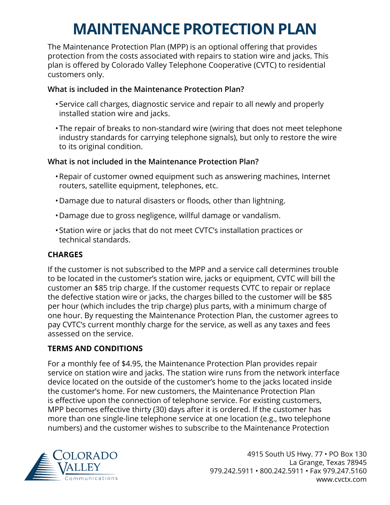## **MAINTENANCE PROTECTION PLAN**

<span id="page-5-0"></span>The Maintenance Protection Plan (MPP) is an optional offering that provides protection from the costs associated with repairs to station wire and jacks. This plan is offered by Colorado Valley Telephone Cooperative (CVTC) to residential customers only.

### **What is included in the Maintenance Protection Plan?**

- •Service call charges, diagnostic service and repair to all newly and properly installed station wire and jacks.
- •The repair of breaks to non-standard wire (wiring that does not meet telephone industry standards for carrying telephone signals), but only to restore the wire to its original condition.

### **What is not included in the Maintenance Protection Plan?**

- •Repair of customer owned equipment such as answering machines, Internet routers, satellite equipment, telephones, etc.
- •Damage due to natural disasters or floods, other than lightning.
- •Damage due to gross negligence, willful damage or vandalism.
- •Station wire or jacks that do not meet CVTC's installation practices or technical standards.

### **CHARGES**

If the customer is not subscribed to the MPP and a service call determines trouble to be located in the customer's station wire, jacks or equipment, CVTC will bill the customer an \$85 trip charge. If the customer requests CVTC to repair or replace the defective station wire or jacks, the charges billed to the customer will be \$85 per hour (which includes the trip charge) plus parts, with a minimum charge of one hour. By requesting the Maintenance Protection Plan, the customer agrees to pay CVTC's current monthly charge for the service, as well as any taxes and fees assessed on the service.

### **TERMS AND CONDITIONS**

For a monthly fee of \$4.95, the Maintenance Protection Plan provides repair service on station wire and jacks. The station wire runs from the network interface device located on the outside of the customer's home to the jacks located inside the customer's home. For new customers, the Maintenance Protection Plan is effective upon the connection of telephone service. For existing customers, MPP becomes effective thirty (30) days after it is ordered. If the customer has more than one single-line telephone service at one location (e.g., two telephone numbers) and the customer wishes to subscribe to the Maintenance Protection

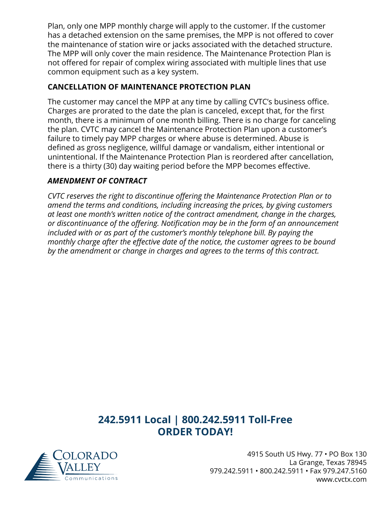Plan, only one MPP monthly charge will apply to the customer. If the customer has a detached extension on the same premises, the MPP is not offered to cover the maintenance of station wire or jacks associated with the detached structure. The MPP will only cover the main residence. The Maintenance Protection Plan is not offered for repair of complex wiring associated with multiple lines that use common equipment such as a key system.

### **CANCELLATION OF MAINTENANCE PROTECTION PLAN**

The customer may cancel the MPP at any time by calling CVTC's business office. Charges are prorated to the date the plan is canceled, except that, for the first month, there is a minimum of one month billing. There is no charge for canceling the plan. CVTC may cancel the Maintenance Protection Plan upon a customer's failure to timely pay MPP charges or where abuse is determined. Abuse is defined as gross negligence, willful damage or vandalism, either intentional or unintentional. If the Maintenance Protection Plan is reordered after cancellation, there is a thirty (30) day waiting period before the MPP becomes effective.

### *AMENDMENT OF CONTRACT*

*CVTC reserves the right to discontinue offering the Maintenance Protection Plan or to amend the terms and conditions, including increasing the prices, by giving customers at least one month's written notice of the contract amendment, change in the charges, or discontinuance of the offering. Notification may be in the form of an announcement included with or as part of the customer's monthly telephone bill. By paying the monthly charge after the effective date of the notice, the customer agrees to be bound by the amendment or change in charges and agrees to the terms of this contract.*

### **242.5911 Local | 800.242.5911 Toll-Free ORDER TODAY!**

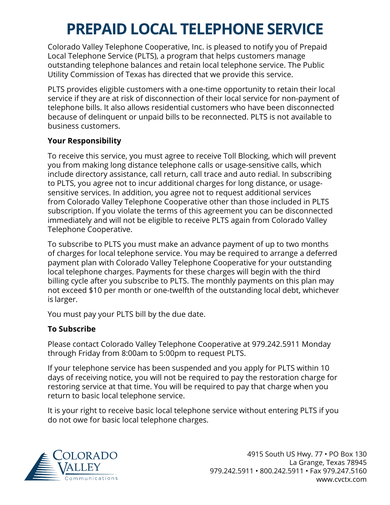### **PREPAID LOCAL TELEPHONE SERVICE**

<span id="page-7-0"></span>Colorado Valley Telephone Cooperative, Inc. is pleased to notify you of Prepaid Local Telephone Service (PLTS), a program that helps customers manage outstanding telephone balances and retain local telephone service. The Public Utility Commission of Texas has directed that we provide this service.

PLTS provides eligible customers with a one-time opportunity to retain their local service if they are at risk of disconnection of their local service for non-payment of telephone bills. It also allows residential customers who have been disconnected because of delinquent or unpaid bills to be reconnected. PLTS is not available to business customers.

### **Your Responsibility**

To receive this service, you must agree to receive Toll Blocking, which will prevent you from making long distance telephone calls or usage-sensitive calls, which include directory assistance, call return, call trace and auto redial. In subscribing to PLTS, you agree not to incur additional charges for long distance, or usagesensitive services. In addition, you agree not to request additional services from Colorado Valley Telephone Cooperative other than those included in PLTS subscription. If you violate the terms of this agreement you can be disconnected immediately and will not be eligible to receive PLTS again from Colorado Valley Telephone Cooperative.

To subscribe to PLTS you must make an advance payment of up to two months of charges for local telephone service. You may be required to arrange a deferred payment plan with Colorado Valley Telephone Cooperative for your outstanding local telephone charges. Payments for these charges will begin with the third billing cycle after you subscribe to PLTS. The monthly payments on this plan may not exceed \$10 per month or one-twelfth of the outstanding local debt, whichever is larger.

You must pay your PLTS bill by the due date.

### **To Subscribe**

Please contact Colorado Valley Telephone Cooperative at 979.242.5911 Monday through Friday from 8:00am to 5:00pm to request PLTS.

If your telephone service has been suspended and you apply for PLTS within 10 days of receiving notice, you will not be required to pay the restoration charge for restoring service at that time. You will be required to pay that charge when you return to basic local telephone service.

It is your right to receive basic local telephone service without entering PLTS if you do not owe for basic local telephone charges.

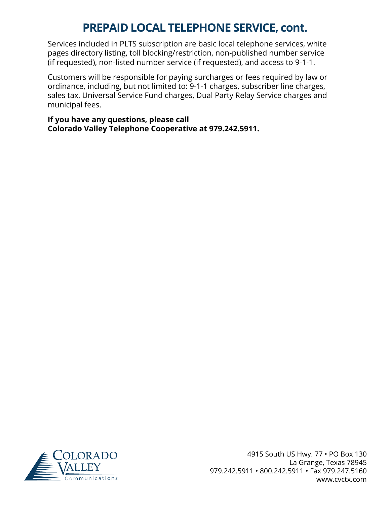### **PREPAID LOCAL TELEPHONE SERVICE, cont.**

Services included in PLTS subscription are basic local telephone services, white pages directory listing, toll blocking/restriction, non-published number service (if requested), non-listed number service (if requested), and access to 9-1-1.

Customers will be responsible for paying surcharges or fees required by law or ordinance, including, but not limited to: 9-1-1 charges, subscriber line charges, sales tax, Universal Service Fund charges, Dual Party Relay Service charges and municipal fees.

**If you have any questions, please call Colorado Valley Telephone Cooperative at 979.242.5911.** 

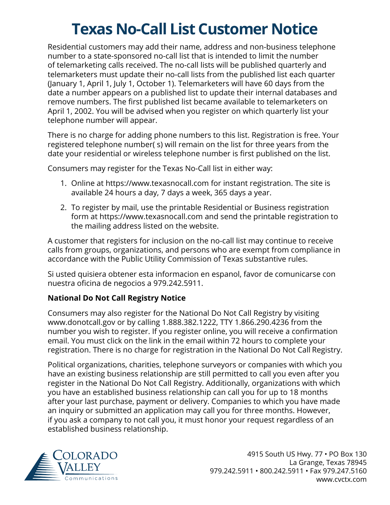### **Texas No-Call List Customer Notice**

<span id="page-9-0"></span>Residential customers may add their name, address and non-business telephone number to a state-sponsored no-call list that is intended to limit the number of telemarketing calls received. The no-call lists will be published quarterly and telemarketers must update their no-call lists from the published list each quarter (January 1, April 1, July 1, October 1). Telemarketers will have 60 days from the date a number appears on a published list to update their internal databases and remove numbers. The first published list became available to telemarketers on April 1, 2002. You will be advised when you register on which quarterly list your telephone number will appear.

There is no charge for adding phone numbers to this list. Registration is free. Your registered telephone number( s) will remain on the list for three years from the date your residential or wireless telephone number is first published on the list.

Consumers may register for the Texas No-Call list in either way:

- 1. Online at https://www.texasnocall.com for instant registration. The site is available 24 hours a day, 7 days a week, 365 days a year.
- 2. To register by mail, use the printable Residential or Business registration form at https://www.texasnocall.com and send the printable registration to the mailing address listed on the website.

A customer that registers for inclusion on the no-call list may continue to receive calls from groups, organizations, and persons who are exempt from compliance in accordance with the Public Utility Commission of Texas substantive rules.

Si usted quisiera obtener esta informacion en espanol, favor de comunicarse con nuestra oficina de negocios a 979.242.5911.

### **National Do Not Call Registry Notice**

Consumers may also register for the National Do Not Call Registry by visiting www.donotcall.gov or by calling 1.888.382.1222, TTY 1.866.290.4236 from the number you wish to register. If you register online, you will receive a confirmation email. You must click on the link in the email within 72 hours to complete your registration. There is no charge for registration in the National Do Not Call Registry.

Political organizations, charities, telephone surveyors or companies with which you have an existing business relationship are still permitted to call you even after you register in the National Do Not Call Registry. Additionally, organizations with which you have an established business relationship can call you for up to 18 months after your last purchase, payment or delivery. Companies to which you have made an inquiry or submitted an application may call you for three months. However, if you ask a company to not call you, it must honor your request regardless of an established business relationship.

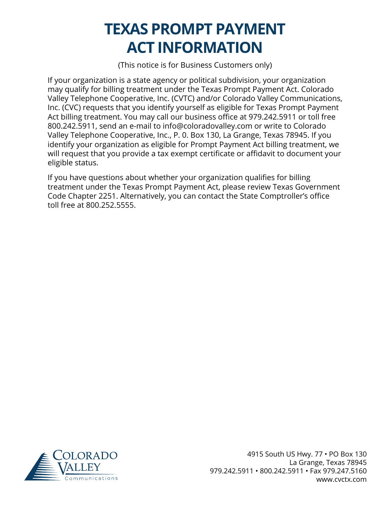### **TEXAS PROMPT PAYMENT ACT INFORMATION**

(This notice is for Business Customers only)

<span id="page-10-0"></span>If your organization is a state agency or political subdivision, your organization may qualify for billing treatment under the Texas Prompt Payment Act. Colorado Valley Telephone Cooperative, Inc. (CVTC) and/or Colorado Valley Communications, Inc. (CVC) requests that you identify yourself as eligible for Texas Prompt Payment Act billing treatment. You may call our business office at 979.242.5911 or toll free 800.242.5911, send an e-mail to info@coloradovalley.com or write to Colorado Valley Telephone Cooperative, Inc., P. 0. Box 130, La Grange, Texas 78945. If you identify your organization as eligible for Prompt Payment Act billing treatment, we will request that you provide a tax exempt certificate or affidavit to document your eligible status.

If you have questions about whether your organization qualifies for billing treatment under the Texas Prompt Payment Act, please review Texas Government Code Chapter 2251. Alternatively, you can contact the State Comptroller's office toll free at 800.252.5555.

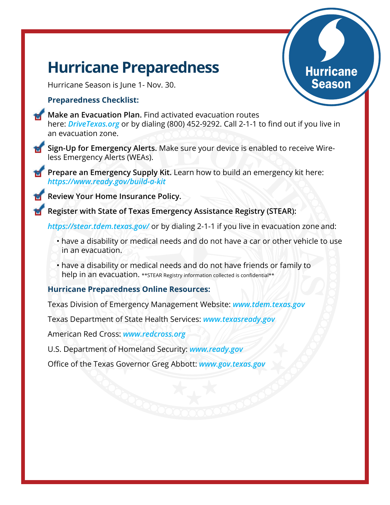### <span id="page-11-0"></span>**Hurricane Preparedness**

Hurricane Season is June 1- Nov. 30.

#### **Preparedness Checklist:**

**Make an Evacuation Plan.** Find activated evacuation routes here: *DriveTexas.org* or by dialing (800) 452-9292. Call 2-1-1 to find out if you live in an evacuation zone.

Hurricane Season

- **Sign-Up for Emergency Alerts.** Make sure your device is enabled to receive Wireless Emergency Alerts (WEAs).
	- **Prepare an Emergency Supply Kit.** Learn how to build an emergency kit here: *https://www.ready.gov/build-a-kit*

**Review Your Home Insurance Policy.**

**Register with State of Texas Emergency Assistance Registry (STEAR):**

*https://stear.tdem.texas.gov/* or by dialing 2-1-1 if you live in evacuation zone and:

- have a disability or medical needs and do not have a car or other vehicle to use in an evacuation.
- have a disability or medical needs and do not have friends or family to help in an evacuation. \*\* STEAR Registry information collected is confidential\*\*

#### **Hurricane Preparedness Online Resources:**

Texas Division of Emergency Management Website: *www.tdem.texas.gov*

Texas Department of State Health Services: *www.texasready.gov*

American Red Cross: *www.redcross.org*

U.S. Department of Homeland Security: *www.ready.gov*

Office of the Texas Governor Greg Abbott: *www.gov.texas.gov*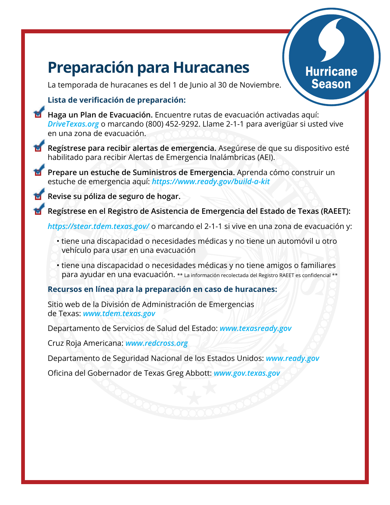### **Preparación para Huracanes**

**Hurricane** Season

La temporada de huracanes es del 1 de Junio al 30 de Noviembre.

### **Lista de verificación de preparación:**

- **Haga un Plan de Evacuación.** Encuentre rutas de evacuación activadas aquí: *DriveTexas.org* o marcando (800) 452-9292. Llame 2-1-1 para averigüar si usted vive en una zona de evacuación.
- **Regístrese para recibir alertas de emergencia.** Asegúrese de que su dispositivo esté habilitado para recibir Alertas de Emergencia Inalámbricas (AEI).
- **Prepare un estuche de Suministros de Emergencia.** Aprenda cómo construir un estuche de emergencia aquí: *https://www.ready.gov/build-a-kit*

**Revise su póliza de seguro de hogar.**

**Regístrese en el Registro de Asistencia de Emergencia del Estado de Texas (RAEET):**

*https://stear.tdem.texas.gov/* o marcando el 2-1-1 si vive en una zona de evacuación y:

- tiene una discapacidad o necesidades médicas y no tiene un automóvil u otro vehículo para usar en una evacuación
- tiene una discapacidad o necesidades médicas y no tiene amigos o familiares para ayudar en una evacuación. \*\* La información recolectada del Registro RAEET es confidencial \*\*

### **Recursos en línea para la preparación en caso de huracanes:**

Sitio web de la División de Administración de Emergencias de Texas: *www.tdem.texas.gov*

Departamento de Servicios de Salud del Estado: *www.texasready.gov*

Cruz Roja Americana: *www.redcross.org*

Departamento de Seguridad Nacional de los Estados Unidos: *www.ready.gov*

Oficina del Gobernador de Texas Greg Abbott: *www.gov.texas.gov*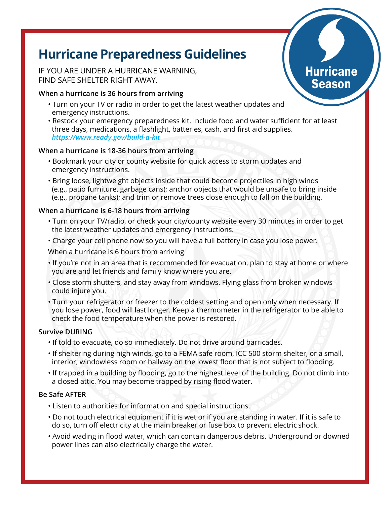### **Hurricane Preparedness Guidelines**

IF YOU ARE UNDER A HURRICANE WARNING, FIND SAFE SHELTER RIGHT AWAY.

#### **When a hurricane is 36 hours from arriving**

- Turn on your TV or radio in order to get the latest weather updates and emergency instructions.
- Restock your emergency preparedness kit. Include food and water sufficient for at least three days, medications, a flashlight, batteries, cash, and first aid supplies. *https://www.ready.gov/build-a-kit*

#### **When a hurricane is 18-36 hours from arriving**

- Bookmark your city or county website for quick access to storm updates and emergency instructions.
- Bring loose, lightweight objects inside that could become projectiles in high winds (e.g., patio furniture, garbage cans); anchor objects that would be unsafe to bring inside (e.g., propane tanks); and trim or remove trees close enough to fall on the building.

#### **When a hurricane is 6-18 hours from arriving**

- Turn on your TV/radio, or check your city/county website every 30 minutes in order to get the latest weather updates and emergency instructions.
- Charge your cell phone now so you will have a full battery in case you lose power.

When a hurricane is 6 hours from arriving

- If you're not in an area that is recommended for evacuation, plan to stay at home or where you are and let friends and family know where you are.
- Close storm shutters, and stay away from windows. Flying glass from broken windows could injure you.
- Turn your refrigerator or freezer to the coldest setting and open only when necessary. If you lose power, food will last longer. Keep a thermometer in the refrigerator to be able to check the food temperature when the power is restored.

#### **Survive DURING**

- If told to evacuate, do so immediately. Do not drive around barricades.
- If sheltering during high winds, go to a FEMA safe room, ICC 500 storm shelter, or a small, interior, windowless room or hallway on the lowest floor that is not subject to flooding.
- If trapped in a building by flooding, go to the highest level of the building. Do not climb into a closed attic. You may become trapped by rising flood water.

#### **Be Safe AFTER**

- Listen to authorities for information and special instructions.
- Do not touch electrical equipment if it is wet or if you are standing in water. If it is safe to do so, turn off electricity at the main breaker or fuse box to prevent electric shock.
- Avoid wading in flood water, which can contain dangerous debris. Underground or downed power lines can also electrically charge the water.

### **Hurricane** Season